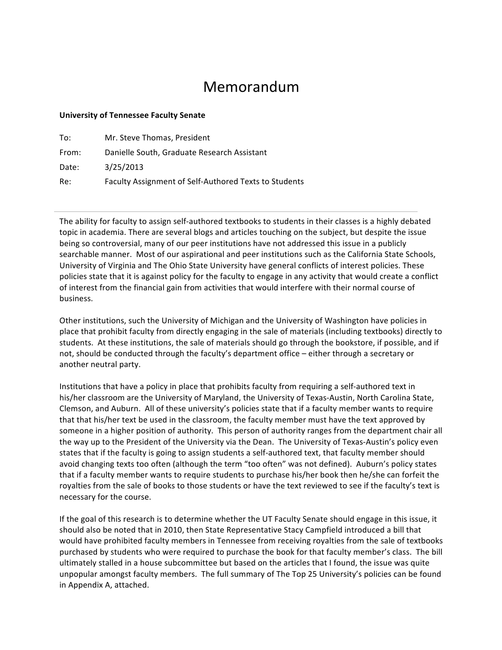## Memorandum

## **University of Tennessee Faculty Senate**

| To:   | Mr. Steve Thomas, President                           |
|-------|-------------------------------------------------------|
| From: | Danielle South, Graduate Research Assistant           |
| Date: | 3/25/2013                                             |
| Re:   | Faculty Assignment of Self-Authored Texts to Students |

The ability for faculty to assign self-authored textbooks to students in their classes is a highly debated topic in academia. There are several blogs and articles touching on the subject, but despite the issue being so controversial, many of our peer institutions have not addressed this issue in a publicly searchable manner. Most of our aspirational and peer institutions such as the California State Schools, University of Virginia and The Ohio State University have general conflicts of interest policies. These policies state that it is against policy for the faculty to engage in any activity that would create a conflict of interest from the financial gain from activities that would interfere with their normal course of business. 

Other institutions, such the University of Michigan and the University of Washington have policies in place that prohibit faculty from directly engaging in the sale of materials (including textbooks) directly to students. At these institutions, the sale of materials should go through the bookstore, if possible, and if not, should be conducted through the faculty's department office – either through a secretary or another neutral party.

Institutions that have a policy in place that prohibits faculty from requiring a self-authored text in his/her classroom are the University of Maryland, the University of Texas-Austin, North Carolina State, Clemson, and Auburn. All of these university's policies state that if a faculty member wants to require that that his/her text be used in the classroom, the faculty member must have the text approved by someone in a higher position of authority. This person of authority ranges from the department chair all the way up to the President of the University via the Dean. The University of Texas-Austin's policy even states that if the faculty is going to assign students a self-authored text, that faculty member should avoid changing texts too often (although the term "too often" was not defined). Auburn's policy states that if a faculty member wants to require students to purchase his/her book then he/she can forfeit the royalties from the sale of books to those students or have the text reviewed to see if the faculty's text is necessary for the course.

If the goal of this research is to determine whether the UT Faculty Senate should engage in this issue, it should also be noted that in 2010, then State Representative Stacy Campfield introduced a bill that would have prohibited faculty members in Tennessee from receiving royalties from the sale of textbooks purchased by students who were required to purchase the book for that faculty member's class. The bill ultimately stalled in a house subcommittee but based on the articles that I found, the issue was quite unpopular amongst faculty members. The full summary of The Top 25 University's policies can be found in Appendix A, attached.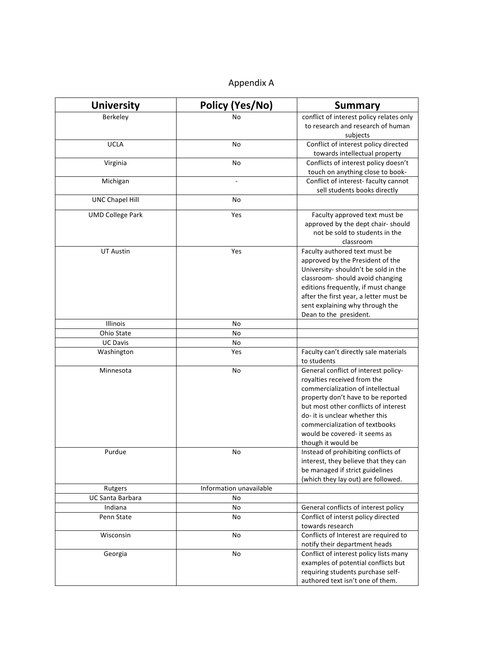## Appendix A

| <b>University</b>       | Policy (Yes/No)         | <b>Summary</b>                                       |
|-------------------------|-------------------------|------------------------------------------------------|
| Berkeley                | No                      | conflict of interest policy relates only             |
|                         |                         | to research and research of human                    |
|                         |                         | subjects                                             |
| <b>UCLA</b>             | No                      | Conflict of interest policy directed                 |
|                         |                         | towards intellectual property                        |
| Virginia                | No                      | Conflicts of interest policy doesn't                 |
|                         |                         | touch on anything close to book-                     |
| Michigan                |                         | Conflict of interest- faculty cannot                 |
|                         |                         | sell students books directly                         |
| <b>UNC Chapel Hill</b>  | No                      |                                                      |
| <b>UMD College Park</b> | Yes                     | Faculty approved text must be                        |
|                         |                         | approved by the dept chair-should                    |
|                         |                         | not be sold to students in the                       |
|                         |                         | classroom                                            |
| <b>UT Austin</b>        | Yes                     | Faculty authored text must be                        |
|                         |                         | approved by the President of the                     |
|                         |                         | University-shouldn't be sold in the                  |
|                         |                         | classroom- should avoid changing                     |
|                         |                         | editions frequently, if must change                  |
|                         |                         | after the first year, a letter must be               |
|                         |                         | sent explaining why through the                      |
|                         |                         | Dean to the president.                               |
| Illinois                | No                      |                                                      |
| Ohio State              | No                      |                                                      |
| <b>UC Davis</b>         | No                      |                                                      |
| Washington              | Yes                     | Faculty can't directly sale materials<br>to students |
| Minnesota               | No                      | General conflict of interest policy-                 |
|                         |                         | royalties received from the                          |
|                         |                         | commercialization of intellectual                    |
|                         |                         | property don't have to be reported                   |
|                         |                         | but most other conflicts of interest                 |
|                         |                         | do- it is unclear whether this                       |
|                         |                         | commercialization of textbooks                       |
|                         |                         | would be covered- it seems as                        |
|                         |                         | though it would be                                   |
| Purdue                  | No                      | Instead of prohibiting conflicts of                  |
|                         |                         | interest, they believe that they can                 |
|                         |                         | be managed if strict guidelines                      |
|                         |                         | (which they lay out) are followed.                   |
| Rutgers                 | Information unavailable |                                                      |
| UC Santa Barbara        | No                      |                                                      |
| Indiana                 | No                      | General conflicts of interest policy                 |
| Penn State              | No                      | Conflict of interst policy directed                  |
|                         |                         | towards research                                     |
| Wisconsin               | No                      | Conflicts of Interest are required to                |
|                         |                         | notify their department heads                        |
| Georgia                 | No                      | Conflict of interest policy lists many               |
|                         |                         | examples of potential conflicts but                  |
|                         |                         | requiring students purchase self-                    |
|                         |                         | authored text isn't one of them.                     |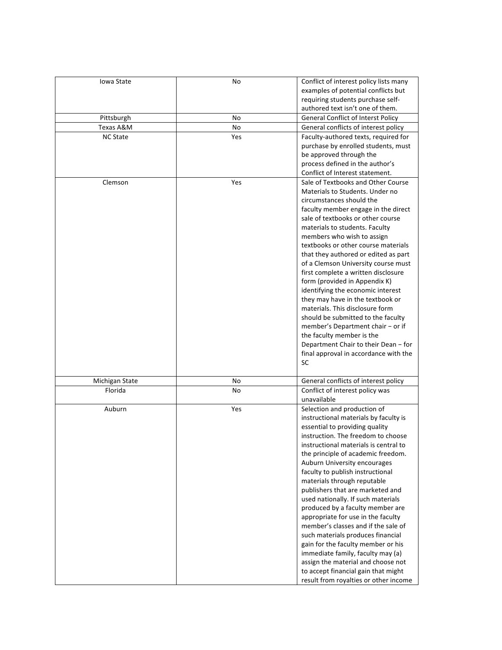| Iowa State      | No  | Conflict of interest policy lists many                                |
|-----------------|-----|-----------------------------------------------------------------------|
|                 |     | examples of potential conflicts but                                   |
|                 |     | requiring students purchase self-<br>authored text isn't one of them. |
| Pittsburgh      | No  | <b>General Conflict of Interst Policy</b>                             |
| Texas A&M       | No  | General conflicts of interest policy                                  |
| <b>NC State</b> | Yes | Faculty-authored texts, required for                                  |
|                 |     | purchase by enrolled students, must                                   |
|                 |     | be approved through the                                               |
|                 |     | process defined in the author's                                       |
|                 |     | Conflict of Interest statement.                                       |
| Clemson         | Yes | Sale of Textbooks and Other Course                                    |
|                 |     | Materials to Students, Under no                                       |
|                 |     | circumstances should the                                              |
|                 |     | faculty member engage in the direct                                   |
|                 |     | sale of textbooks or other course                                     |
|                 |     | materials to students. Faculty                                        |
|                 |     | members who wish to assign<br>textbooks or other course materials     |
|                 |     | that they authored or edited as part                                  |
|                 |     | of a Clemson University course must                                   |
|                 |     | first complete a written disclosure                                   |
|                 |     | form (provided in Appendix K)                                         |
|                 |     | identifying the economic interest                                     |
|                 |     | they may have in the textbook or                                      |
|                 |     | materials. This disclosure form                                       |
|                 |     | should be submitted to the faculty                                    |
|                 |     | member's Department chair - or if                                     |
|                 |     | the faculty member is the                                             |
|                 |     | Department Chair to their Dean - for                                  |
|                 |     | final approval in accordance with the                                 |
|                 |     | SC                                                                    |
| Michigan State  | No  | General conflicts of interest policy                                  |
| Florida         | No  | Conflict of interest policy was                                       |
|                 |     | unavailable                                                           |
| Auburn          | Yes | Selection and production of                                           |
|                 |     | instructional materials by faculty is                                 |
|                 |     | essential to providing quality                                        |
|                 |     | instruction. The freedom to choose                                    |
|                 |     | instructional materials is central to                                 |
|                 |     | the principle of academic freedom.<br>Auburn University encourages    |
|                 |     | faculty to publish instructional                                      |
|                 |     | materials through reputable                                           |
|                 |     | publishers that are marketed and                                      |
|                 |     | used nationally. If such materials                                    |
|                 |     | produced by a faculty member are                                      |
|                 |     | appropriate for use in the faculty                                    |
|                 |     | member's classes and if the sale of                                   |
|                 |     | such materials produces financial                                     |
|                 |     | gain for the faculty member or his                                    |
|                 |     | immediate family, faculty may (a)                                     |
|                 |     | assign the material and choose not                                    |
|                 |     | to accept financial gain that might                                   |
|                 |     | result from royalties or other income                                 |